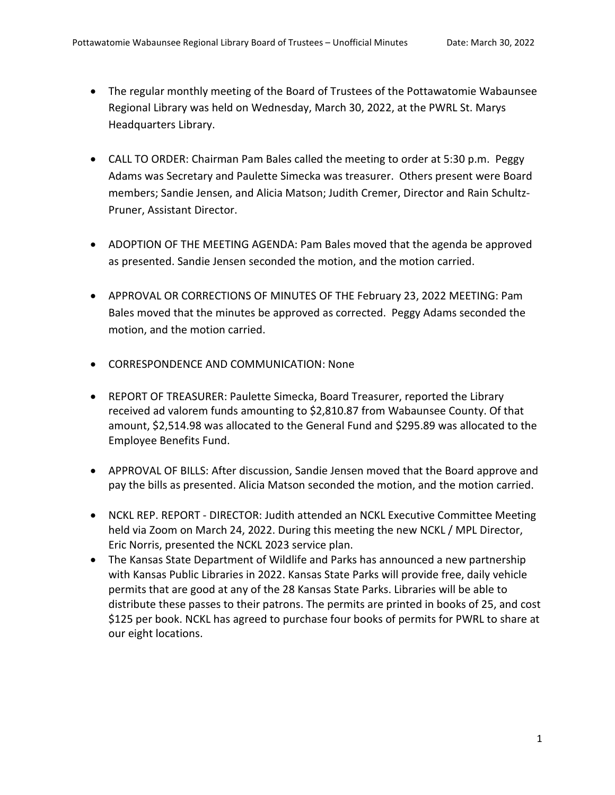- The regular monthly meeting of the Board of Trustees of the Pottawatomie Wabaunsee Regional Library was held on Wednesday, March 30, 2022, at the PWRL St. Marys Headquarters Library.
- CALL TO ORDER: Chairman Pam Bales called the meeting to order at 5:30 p.m. Peggy Adams was Secretary and Paulette Simecka was treasurer. Others present were Board members; Sandie Jensen, and Alicia Matson; Judith Cremer, Director and Rain Schultz-Pruner, Assistant Director.
- ADOPTION OF THE MEETING AGENDA: Pam Bales moved that the agenda be approved as presented. Sandie Jensen seconded the motion, and the motion carried.
- APPROVAL OR CORRECTIONS OF MINUTES OF THE February 23, 2022 MEETING: Pam Bales moved that the minutes be approved as corrected. Peggy Adams seconded the motion, and the motion carried.
- CORRESPONDENCE AND COMMUNICATION: None
- REPORT OF TREASURER: Paulette Simecka, Board Treasurer, reported the Library received ad valorem funds amounting to \$2,810.87 from Wabaunsee County. Of that amount, \$2,514.98 was allocated to the General Fund and \$295.89 was allocated to the Employee Benefits Fund.
- APPROVAL OF BILLS: After discussion, Sandie Jensen moved that the Board approve and pay the bills as presented. Alicia Matson seconded the motion, and the motion carried.
- NCKL REP. REPORT DIRECTOR: Judith attended an NCKL Executive Committee Meeting held via Zoom on March 24, 2022. During this meeting the new NCKL / MPL Director, Eric Norris, presented the NCKL 2023 service plan.
- The Kansas State Department of Wildlife and Parks has announced a new partnership with Kansas Public Libraries in 2022. Kansas State Parks will provide free, daily vehicle permits that are good at any of the 28 Kansas State Parks. Libraries will be able to distribute these passes to their patrons. The permits are printed in books of 25, and cost \$125 per book. NCKL has agreed to purchase four books of permits for PWRL to share at our eight locations.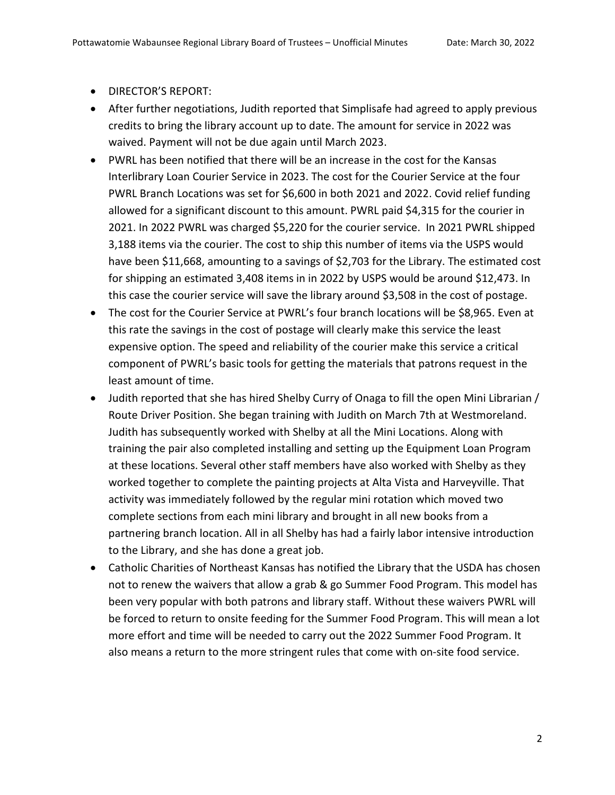- DIRECTOR'S REPORT:
- After further negotiations, Judith reported that Simplisafe had agreed to apply previous credits to bring the library account up to date. The amount for service in 2022 was waived. Payment will not be due again until March 2023.
- PWRL has been notified that there will be an increase in the cost for the Kansas Interlibrary Loan Courier Service in 2023. The cost for the Courier Service at the four PWRL Branch Locations was set for \$6,600 in both 2021 and 2022. Covid relief funding allowed for a significant discount to this amount. PWRL paid \$4,315 for the courier in 2021. In 2022 PWRL was charged \$5,220 for the courier service. In 2021 PWRL shipped 3,188 items via the courier. The cost to ship this number of items via the USPS would have been \$11,668, amounting to a savings of \$2,703 for the Library. The estimated cost for shipping an estimated 3,408 items in in 2022 by USPS would be around \$12,473. In this case the courier service will save the library around \$3,508 in the cost of postage.
- The cost for the Courier Service at PWRL's four branch locations will be \$8,965. Even at this rate the savings in the cost of postage will clearly make this service the least expensive option. The speed and reliability of the courier make this service a critical component of PWRL's basic tools for getting the materials that patrons request in the least amount of time.
- Judith reported that she has hired Shelby Curry of Onaga to fill the open Mini Librarian / Route Driver Position. She began training with Judith on March 7th at Westmoreland. Judith has subsequently worked with Shelby at all the Mini Locations. Along with training the pair also completed installing and setting up the Equipment Loan Program at these locations. Several other staff members have also worked with Shelby as they worked together to complete the painting projects at Alta Vista and Harveyville. That activity was immediately followed by the regular mini rotation which moved two complete sections from each mini library and brought in all new books from a partnering branch location. All in all Shelby has had a fairly labor intensive introduction to the Library, and she has done a great job.
- Catholic Charities of Northeast Kansas has notified the Library that the USDA has chosen not to renew the waivers that allow a grab & go Summer Food Program. This model has been very popular with both patrons and library staff. Without these waivers PWRL will be forced to return to onsite feeding for the Summer Food Program. This will mean a lot more effort and time will be needed to carry out the 2022 Summer Food Program. It also means a return to the more stringent rules that come with on-site food service.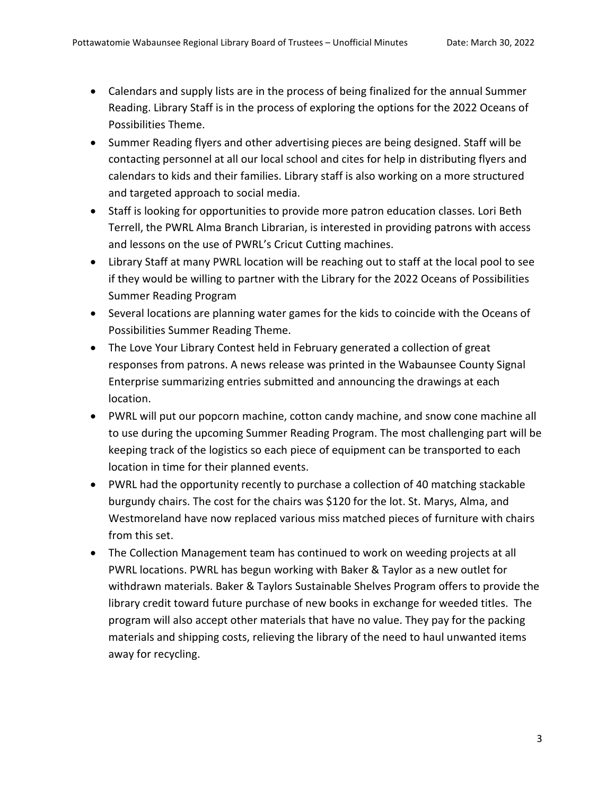- Calendars and supply lists are in the process of being finalized for the annual Summer Reading. Library Staff is in the process of exploring the options for the 2022 Oceans of Possibilities Theme.
- Summer Reading flyers and other advertising pieces are being designed. Staff will be contacting personnel at all our local school and cites for help in distributing flyers and calendars to kids and their families. Library staff is also working on a more structured and targeted approach to social media.
- Staff is looking for opportunities to provide more patron education classes. Lori Beth Terrell, the PWRL Alma Branch Librarian, is interested in providing patrons with access and lessons on the use of PWRL's Cricut Cutting machines.
- Library Staff at many PWRL location will be reaching out to staff at the local pool to see if they would be willing to partner with the Library for the 2022 Oceans of Possibilities Summer Reading Program
- Several locations are planning water games for the kids to coincide with the Oceans of Possibilities Summer Reading Theme.
- The Love Your Library Contest held in February generated a collection of great responses from patrons. A news release was printed in the Wabaunsee County Signal Enterprise summarizing entries submitted and announcing the drawings at each location.
- PWRL will put our popcorn machine, cotton candy machine, and snow cone machine all to use during the upcoming Summer Reading Program. The most challenging part will be keeping track of the logistics so each piece of equipment can be transported to each location in time for their planned events.
- PWRL had the opportunity recently to purchase a collection of 40 matching stackable burgundy chairs. The cost for the chairs was \$120 for the lot. St. Marys, Alma, and Westmoreland have now replaced various miss matched pieces of furniture with chairs from this set.
- The Collection Management team has continued to work on weeding projects at all PWRL locations. PWRL has begun working with Baker & Taylor as a new outlet for withdrawn materials. Baker & Taylors Sustainable Shelves Program offers to provide the library credit toward future purchase of new books in exchange for weeded titles. The program will also accept other materials that have no value. They pay for the packing materials and shipping costs, relieving the library of the need to haul unwanted items away for recycling.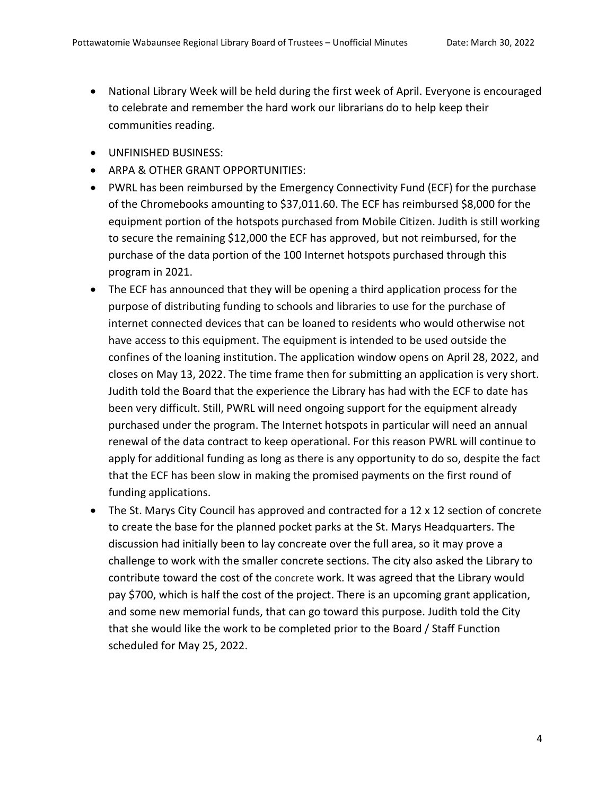- National Library Week will be held during the first week of April. Everyone is encouraged to celebrate and remember the hard work our librarians do to help keep their communities reading.
- UNFINISHED BUSINESS:
- ARPA & OTHER GRANT OPPORTUNITIES:
- PWRL has been reimbursed by the Emergency Connectivity Fund (ECF) for the purchase of the Chromebooks amounting to \$37,011.60. The ECF has reimbursed \$8,000 for the equipment portion of the hotspots purchased from Mobile Citizen. Judith is still working to secure the remaining \$12,000 the ECF has approved, but not reimbursed, for the purchase of the data portion of the 100 Internet hotspots purchased through this program in 2021.
- The ECF has announced that they will be opening a third application process for the purpose of distributing funding to schools and libraries to use for the purchase of internet connected devices that can be loaned to residents who would otherwise not have access to this equipment. The equipment is intended to be used outside the confines of the loaning institution. The application window opens on April 28, 2022, and closes on May 13, 2022. The time frame then for submitting an application is very short. Judith told the Board that the experience the Library has had with the ECF to date has been very difficult. Still, PWRL will need ongoing support for the equipment already purchased under the program. The Internet hotspots in particular will need an annual renewal of the data contract to keep operational. For this reason PWRL will continue to apply for additional funding as long as there is any opportunity to do so, despite the fact that the ECF has been slow in making the promised payments on the first round of funding applications.
- The St. Marys City Council has approved and contracted for a 12 x 12 section of concrete to create the base for the planned pocket parks at the St. Marys Headquarters. The discussion had initially been to lay concreate over the full area, so it may prove a challenge to work with the smaller concrete sections. The city also asked the Library to contribute toward the cost of the concrete work. It was agreed that the Library would pay \$700, which is half the cost of the project. There is an upcoming grant application, and some new memorial funds, that can go toward this purpose. Judith told the City that she would like the work to be completed prior to the Board / Staff Function scheduled for May 25, 2022.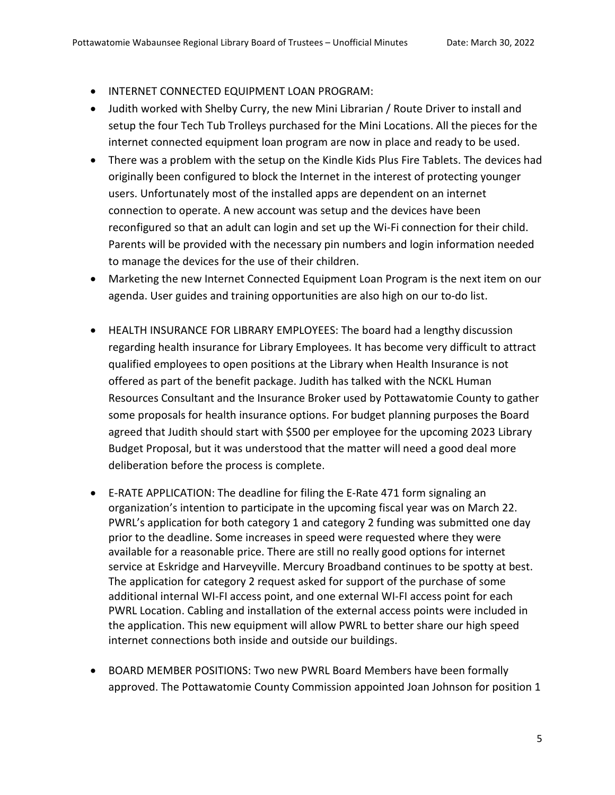- INTERNET CONNECTED EQUIPMENT LOAN PROGRAM:
- Judith worked with Shelby Curry, the new Mini Librarian / Route Driver to install and setup the four Tech Tub Trolleys purchased for the Mini Locations. All the pieces for the internet connected equipment loan program are now in place and ready to be used.
- There was a problem with the setup on the Kindle Kids Plus Fire Tablets. The devices had originally been configured to block the Internet in the interest of protecting younger users. Unfortunately most of the installed apps are dependent on an internet connection to operate. A new account was setup and the devices have been reconfigured so that an adult can login and set up the Wi-Fi connection for their child. Parents will be provided with the necessary pin numbers and login information needed to manage the devices for the use of their children.
- Marketing the new Internet Connected Equipment Loan Program is the next item on our agenda. User guides and training opportunities are also high on our to-do list.
- HEALTH INSURANCE FOR LIBRARY EMPLOYEES: The board had a lengthy discussion regarding health insurance for Library Employees. It has become very difficult to attract qualified employees to open positions at the Library when Health Insurance is not offered as part of the benefit package. Judith has talked with the NCKL Human Resources Consultant and the Insurance Broker used by Pottawatomie County to gather some proposals for health insurance options. For budget planning purposes the Board agreed that Judith should start with \$500 per employee for the upcoming 2023 Library Budget Proposal, but it was understood that the matter will need a good deal more deliberation before the process is complete.
- E-RATE APPLICATION: The deadline for filing the E-Rate 471 form signaling an organization's intention to participate in the upcoming fiscal year was on March 22. PWRL's application for both category 1 and category 2 funding was submitted one day prior to the deadline. Some increases in speed were requested where they were available for a reasonable price. There are still no really good options for internet service at Eskridge and Harveyville. Mercury Broadband continues to be spotty at best. The application for category 2 request asked for support of the purchase of some additional internal WI-FI access point, and one external WI-FI access point for each PWRL Location. Cabling and installation of the external access points were included in the application. This new equipment will allow PWRL to better share our high speed internet connections both inside and outside our buildings.
- BOARD MEMBER POSITIONS: Two new PWRL Board Members have been formally approved. The Pottawatomie County Commission appointed Joan Johnson for position 1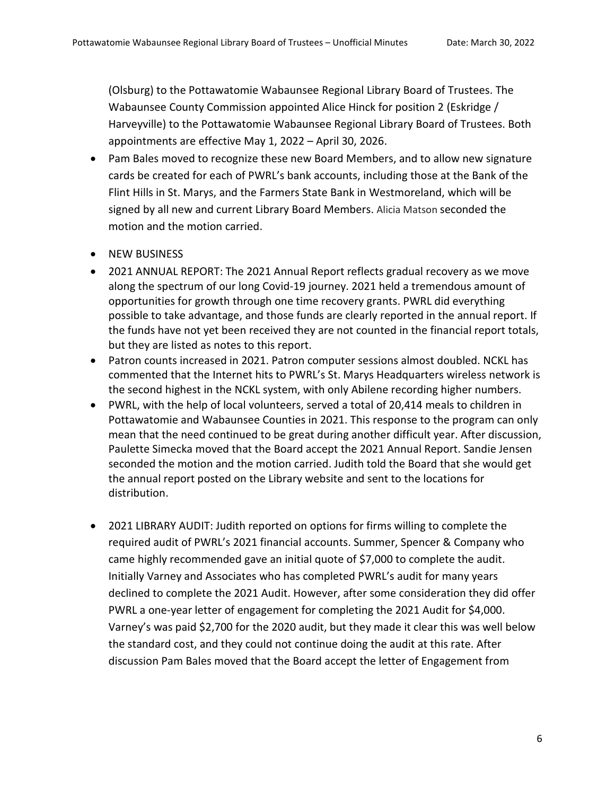(Olsburg) to the Pottawatomie Wabaunsee Regional Library Board of Trustees. The Wabaunsee County Commission appointed Alice Hinck for position 2 (Eskridge / Harveyville) to the Pottawatomie Wabaunsee Regional Library Board of Trustees. Both appointments are effective May 1, 2022 – April 30, 2026.

- Pam Bales moved to recognize these new Board Members, and to allow new signature cards be created for each of PWRL's bank accounts, including those at the Bank of the Flint Hills in St. Marys, and the Farmers State Bank in Westmoreland, which will be signed by all new and current Library Board Members. Alicia Matson seconded the motion and the motion carried.
- NEW BUSINESS
- 2021 ANNUAL REPORT: The 2021 Annual Report reflects gradual recovery as we move along the spectrum of our long Covid-19 journey. 2021 held a tremendous amount of opportunities for growth through one time recovery grants. PWRL did everything possible to take advantage, and those funds are clearly reported in the annual report. If the funds have not yet been received they are not counted in the financial report totals, but they are listed as notes to this report.
- Patron counts increased in 2021. Patron computer sessions almost doubled. NCKL has commented that the Internet hits to PWRL's St. Marys Headquarters wireless network is the second highest in the NCKL system, with only Abilene recording higher numbers.
- PWRL, with the help of local volunteers, served a total of 20,414 meals to children in Pottawatomie and Wabaunsee Counties in 2021. This response to the program can only mean that the need continued to be great during another difficult year. After discussion, Paulette Simecka moved that the Board accept the 2021 Annual Report. Sandie Jensen seconded the motion and the motion carried. Judith told the Board that she would get the annual report posted on the Library website and sent to the locations for distribution.
- 2021 LIBRARY AUDIT: Judith reported on options for firms willing to complete the required audit of PWRL's 2021 financial accounts. Summer, Spencer & Company who came highly recommended gave an initial quote of \$7,000 to complete the audit. Initially Varney and Associates who has completed PWRL's audit for many years declined to complete the 2021 Audit. However, after some consideration they did offer PWRL a one-year letter of engagement for completing the 2021 Audit for \$4,000. Varney's was paid \$2,700 for the 2020 audit, but they made it clear this was well below the standard cost, and they could not continue doing the audit at this rate. After discussion Pam Bales moved that the Board accept the letter of Engagement from